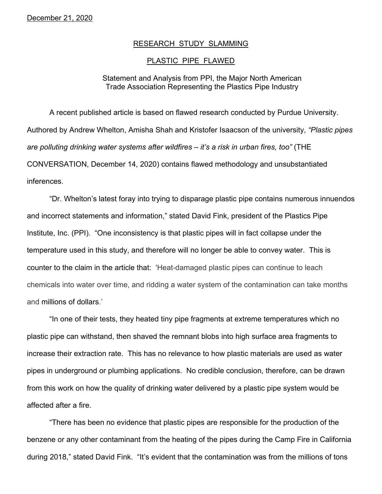## RESEARCH STUDY SLAMMING

## PLASTIC PIPE FLAWED

## Statement and Analysis from PPI, the Major North American Trade Association Representing the Plastics Pipe Industry

A recent published article is based on flawed research conducted by Purdue University. Authored by Andrew Whelton, Amisha Shah and Kristofer Isaacson of the university, *"Plastic pipes are polluting drinking water systems after wildfires – it's a risk in urban fires, too"* (THE CONVERSATION, December 14, 2020) contains flawed methodology and unsubstantiated inferences.

"Dr. Whelton's latest foray into trying to disparage plastic pipe contains numerous innuendos and incorrect statements and information," stated David Fink, president of the Plastics Pipe Institute, Inc. (PPI). "One inconsistency is that plastic pipes will in fact collapse under the temperature used in this study, and therefore will no longer be able to convey water. This is counter to the claim in the article that: 'Heat-damaged plastic pipes can continue to leach chemicals into water over time, and ridding a water system of the contamination can take months and millions of dollars.'

"In one of their tests, they heated tiny pipe fragments at extreme temperatures which no plastic pipe can withstand, then shaved the remnant blobs into high surface area fragments to increase their extraction rate. This has no relevance to how plastic materials are used as water pipes in underground or plumbing applications. No credible conclusion, therefore, can be drawn from this work on how the quality of drinking water delivered by a plastic pipe system would be affected after a fire.

"There has been no evidence that plastic pipes are responsible for the production of the benzene or any other contaminant from the heating of the pipes during the Camp Fire in California during 2018," stated David Fink. "It's evident that the contamination was from the millions of tons